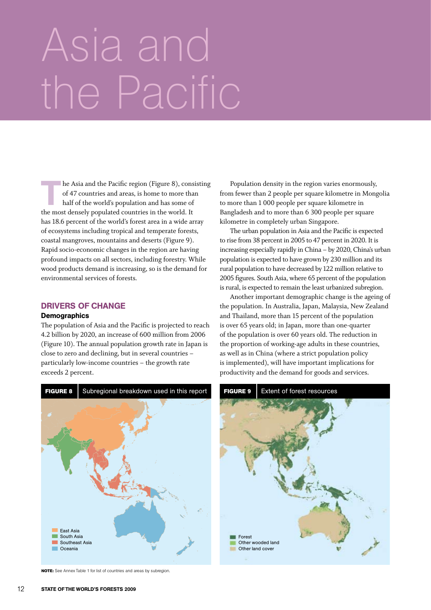# the Pacific Asia and

he Asia and the Pacific region (Figure 8), consisting of 47 countries and areas, is home to more than half of the world's population and has some of the most densely populated countries in the world. It has 18.6 percent of the world's forest area in a wide array of ecosystems including tropical and temperate forests, coastal mangroves, mountains and deserts (Figure 9). Rapid socio-economic changes in the region are having profound impacts on all sectors, including forestry. While wood products demand is increasing, so is the demand for environmental services of forests.

#### Drivers of change

#### **Demographics**

The population of Asia and the Pacific is projected to reach 4.2 billion by 2020, an increase of 600 million from 2006 (Figure 10). The annual population growth rate in Japan is close to zero and declining, but in several countries – particularly low-income countries – the growth rate exceeds 2 percent.

Population density in the region varies enormously, from fewer than 2 people per square kilometre in Mongolia to more than 1 000 people per square kilometre in Bangladesh and to more than 6 300 people per square kilometre in completely urban Singapore.

The urban population in Asia and the Pacific is expected to rise from 38 percent in 2005 to 47 percent in 2020. It is increasing especially rapidly in China – by 2020, China's urban population is expected to have grown by 230 million and its rural population to have decreased by 122 million relative to 2005 figures. South Asia, where 65 percent of the population is rural, is expected to remain the least urbanized subregion.

Another important demographic change is the ageing of the population. In Australia, Japan, Malaysia, New Zealand and Thailand, more than 15 percent of the population is over 65 years old; in Japan, more than one-quarter of the population is over 60 years old. The reduction in the proportion of working-age adults in these countries, as well as in China (where a strict population policy is implemented), will have important implications for productivity and the demand for goods and services.



**NOTE:** See Annex Table 1 for list of countries and areas by subregion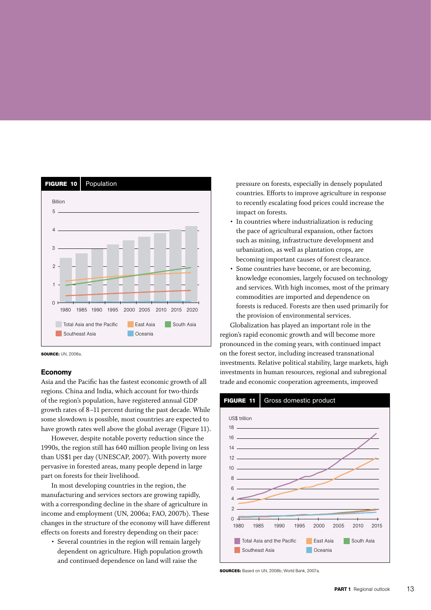

**Source:** UN, 2008a.

#### Economy

Asia and the Pacific has the fastest economic growth of all regions. China and India, which account for two-thirds of the region's population, have registered annual GDP growth rates of 8–11 percent during the past decade. While some slowdown is possible, most countries are expected to have growth rates well above the global average (Figure 11).

However, despite notable poverty reduction since the 1990s, the region still has 640 million people living on less than US\$1 per day (UNESCAP, 2007). With poverty more pervasive in forested areas, many people depend in large part on forests for their livelihood.

In most developing countries in the region, the manufacturing and services sectors are growing rapidly, with a corresponding decline in the share of agriculture in income and employment (UN, 2006a; FAO, 2007b). These changes in the structure of the economy will have different effects on forests and forestry depending on their pace:

• Several countries in the region will remain largely dependent on agriculture. High population growth and continued dependence on land will raise the

pressure on forests, especially in densely populated countries. Efforts to improve agriculture in response to recently escalating food prices could increase the impact on forests.

- In countries where industrialization is reducing the pace of agricultural expansion, other factors such as mining, infrastructure development and urbanization, as well as plantation crops, are becoming important causes of forest clearance.
- Some countries have become, or are becoming, knowledge economies, largely focused on technology and services. With high incomes, most of the primary commodities are imported and dependence on forests is reduced. Forests are then used primarily for the provision of environmental services.

Globalization has played an important role in the region's rapid economic growth and will become more pronounced in the coming years, with continued impact on the forest sector, including increased transnational investments. Relative political stability, large markets, high investments in human resources, regional and subregional trade and economic cooperation agreements, improved



**Sources:** Based on UN, 2008b; World Bank, 2007a.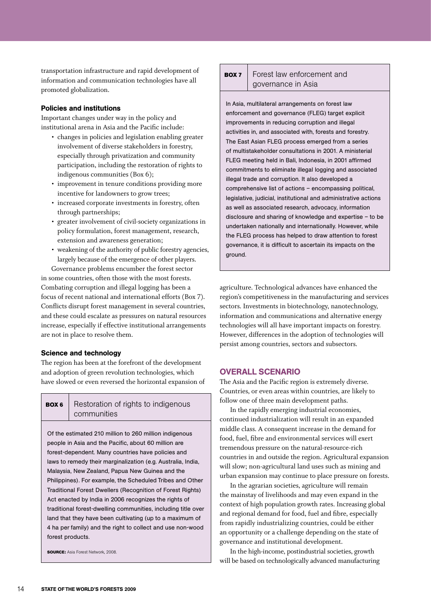transportation infrastructure and rapid development of information and communication technologies have all promoted globalization.

#### Policies and institutions

Important changes under way in the policy and institutional arena in Asia and the Pacific include:

- changes in policies and legislation enabling greater involvement of diverse stakeholders in forestry, especially through privatization and community participation, including the restoration of rights to indigenous communities (Box 6);
- improvement in tenure conditions providing more incentive for landowners to grow trees;
- increased corporate investments in forestry, often through partnerships;
- greater involvement of civil-society organizations in policy formulation, forest management, research, extension and awareness generation;
- weakening of the authority of public forestry agencies, largely because of the emergence of other players.

Governance problems encumber the forest sector in some countries, often those with the most forests. Combating corruption and illegal logging has been a focus of recent national and international efforts (Box 7). Conflicts disrupt forest management in several countries, and these could escalate as pressures on natural resources increase, especially if effective institutional arrangements are not in place to resolve them.

#### Science and technology

The region has been at the forefront of the development and adoption of green revolution technologies, which have slowed or even reversed the horizontal expansion of

# **BOX 6** Restoration of rights to indigenous communities

Of the estimated 210 million to 260 million indigenous people in Asia and the Pacific, about 60 million are forest-dependent. Many countries have policies and laws to remedy their marginalization (e.g. Australia, India, Malaysia, New Zealand, Papua New Guinea and the Philippines). For example, the Scheduled Tribes and Other Traditional Forest Dwellers (Recognition of Forest Rights) Act enacted by India in 2006 recognizes the rights of traditional forest-dwelling communities, including title over land that they have been cultivating (up to a maximum of 4 ha per family) and the right to collect and use non-wood forest products.

**source:** Asia Forest Network*,* 2008.

# **BOX7** Forest law enforcement and governance in Asia

In Asia, multilateral arrangements on forest law enforcement and governance (FLEG) target explicit improvements in reducing corruption and illegal activities in, and associated with, forests and forestry. The East Asian FLEG process emerged from a series of multistakeholder consultations in 2001. A ministerial FLEG meeting held in Bali, Indonesia, in 2001 affirmed commitments to eliminate illegal logging and associated illegal trade and corruption. It also developed a comprehensive list of actions – encompassing political, legislative, judicial, institutional and administrative actions as well as associated research, advocacy, information disclosure and sharing of knowledge and expertise – to be undertaken nationally and internationally. However, while the FLEG process has helped to draw attention to forest governance, it is difficult to ascertain its impacts on the ground.

agriculture. Technological advances have enhanced the region's competitiveness in the manufacturing and services sectors. Investments in biotechnology, nanotechnology, information and communications and alternative energy technologies will all have important impacts on forestry. However, differences in the adoption of technologies will persist among countries, sectors and subsectors.

#### Overall scenario

The Asia and the Pacific region is extremely diverse. Countries, or even areas within countries, are likely to follow one of three main development paths.

In the rapidly emerging industrial economies, continued industrialization will result in an expanded middle class. A consequent increase in the demand for food, fuel, fibre and environmental services will exert tremendous pressure on the natural-resource-rich countries in and outside the region. Agricultural expansion will slow; non-agricultural land uses such as mining and urban expansion may continue to place pressure on forests.

In the agrarian societies, agriculture will remain the mainstay of livelihoods and may even expand in the context of high population growth rates. Increasing global and regional demand for food, fuel and fibre, especially from rapidly industrializing countries, could be either an opportunity or a challenge depending on the state of governance and institutional development.

In the high-income, postindustrial societies, growth will be based on technologically advanced manufacturing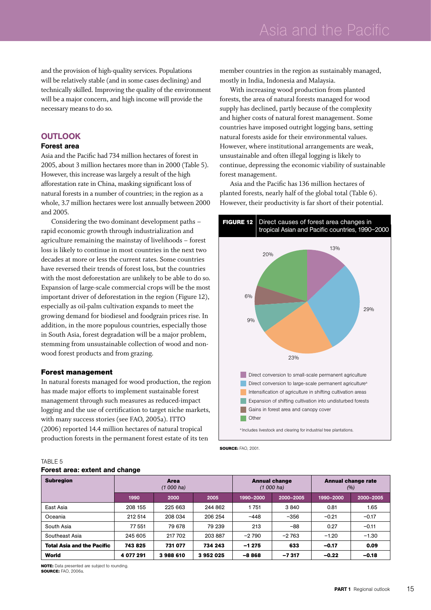and the provision of high-quality services. Populations will be relatively stable (and in some cases declining) and technically skilled. Improving the quality of the environment will be a major concern, and high income will provide the necessary means to do so.

## **OUTLOOK**

### Forest area

Asia and the Pacific had 734 million hectares of forest in 2005, about 3 million hectares more than in 2000 (Table 5). However, this increase was largely a result of the high afforestation rate in China, masking significant loss of natural forests in a number of countries; in the region as a whole, 3.7 million hectares were lost annually between 2000 and 2005.

Considering the two dominant development paths – rapid economic growth through industrialization and agriculture remaining the mainstay of livelihoods – forest loss is likely to continue in most countries in the next two decades at more or less the current rates. Some countries have reversed their trends of forest loss, but the countries with the most deforestation are unlikely to be able to do so. Expansion of large-scale commercial crops will be the most important driver of deforestation in the region (Figure 12), especially as oil-palm cultivation expands to meet the growing demand for biodiesel and foodgrain prices rise. In addition, in the more populous countries, especially those in South Asia, forest degradation will be a major problem, stemming from unsustainable collection of wood and nonwood forest products and from grazing.

#### **Forest management**

TARL F 5

In natural forests managed for wood production, the region has made major efforts to implement sustainable forest management through such measures as reduced-impact logging and the use of certification to target niche markets, with many success stories (see FAO, 2005a). ITTO (2006) reported 14.4 million hectares of natural tropical production forests in the permanent forest estate of its ten

| mostly in India, Indonesia and Malaysia.<br>With increasing wood production from planted |  |  |  |  |  |  |  |
|------------------------------------------------------------------------------------------|--|--|--|--|--|--|--|
|                                                                                          |  |  |  |  |  |  |  |

member countries in the region as sustainably managed,

forests, the area of natural forests managed for wood supply has declined, partly because of the complexity and higher costs of natural forest management. Some countries have imposed outright logging bans, setting natural forests aside for their environmental values. However, where institutional arrangements are weak, unsustainable and often illegal logging is likely to continue, depressing the economic viability of sustainable forest management.

Asia and the Pacific has 136 million hectares of planted forests, nearly half of the global total (Table 6). However, their productivity is far short of their potential.



**Source:** FAO, 2001.

| <b>Subregion</b>                  | Area<br>$(1000)$ ha) |         |         | <b>Annual change</b><br>$(1000)$ ha) |           | <b>Annual change rate</b><br>(%) |           |
|-----------------------------------|----------------------|---------|---------|--------------------------------------|-----------|----------------------------------|-----------|
|                                   | 1990                 | 2000    | 2005    | 1990-2000                            | 2000-2005 | 1990-2000                        | 2000-2005 |
| East Asia                         | 208 155              | 225 663 | 244 862 | 1751                                 | 3840      | 0.81                             | 1.65      |
| Oceania                           | 212 514              | 208 034 | 206 254 | $-448$                               | $-356$    | $-0.21$                          | $-0.17$   |
| South Asia                        | 77551                | 79 678  | 79 239  | 213                                  | $-88$     | 0.27                             | $-0.11$   |
| Southeast Asia                    | 245 605              | 217 702 | 203 887 | $-2790$                              | $-2763$   | $-1.20$                          | $-1.30$   |
| <b>Total Asia and the Pacific</b> | 743 825              | 731 077 | 734 243 | $-1275$                              | 633       | $-0.17$                          | 0.09      |
| World                             | 4 077 291            | 3988610 | 3952025 | $-8868$                              | $-7317$   | $-0.22$                          | $-0.18$   |

**NOTE:** Data presented are subject to rounding **source:** FAO, 2006a.

Forest area: extent and change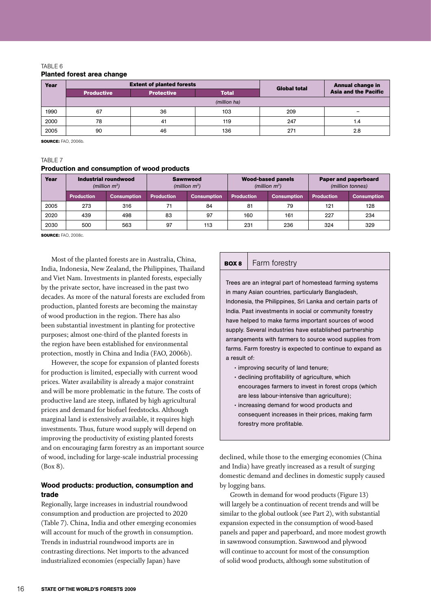#### TABLE 6 Planted forest area change

| Year |                   | <b>Extent of planted forests</b> | <b>Global total</b> | <b>Annual change in</b> |                             |  |  |  |  |
|------|-------------------|----------------------------------|---------------------|-------------------------|-----------------------------|--|--|--|--|
|      | <b>Productive</b> | <b>Protective</b>                | <b>Total</b>        |                         | <b>Asia and the Pacific</b> |  |  |  |  |
|      | (million ha)      |                                  |                     |                         |                             |  |  |  |  |
| 1990 | 67                | 36                               | 103                 | 209                     |                             |  |  |  |  |
| 2000 | 78                | 41                               | 119                 | 247                     |                             |  |  |  |  |
| 2005 | 90                | 46                               | 136                 | 271                     | 2.8                         |  |  |  |  |

**source:** FAO, 2006b.

#### TARI F 7

#### Production and consumption of wood products

| Year | Industrial roundwood<br>(million $m^3$ ) |                    | <b>Sawnwood</b><br>(million $m^3$ ) |                    | <b>Wood-based panels</b><br>(million $m^3$ ) |                    | Paper and paperboard<br>(million tonnes) |                    |
|------|------------------------------------------|--------------------|-------------------------------------|--------------------|----------------------------------------------|--------------------|------------------------------------------|--------------------|
|      | <b>Production</b>                        | <b>Consumption</b> | <b>Production</b>                   | <b>Consumption</b> | <b>Production</b>                            | <b>Consumption</b> | <b>Production</b>                        | <b>Consumption</b> |
| 2005 | 273                                      | 316                |                                     | 84                 | 81                                           | 79                 | 121                                      | 128                |
| 2020 | 439                                      | 498                | 83                                  | 97                 | 160                                          | 161                | 227                                      | 234                |
| 2030 | 500                                      | 563                | 97                                  | 113                | 231                                          | 236                | 324                                      | 329                |

**source:** FAO, 2008c.

Most of the planted forests are in Australia, China, India, Indonesia, New Zealand, the Philippines, Thailand and Viet Nam. Investments in planted forests, especially by the private sector, have increased in the past two decades. As more of the natural forests are excluded from production, planted forests are becoming the mainstay of wood production in the region. There has also been substantial investment in planting for protective purposes; almost one-third of the planted forests in the region have been established for environmental protection, mostly in China and India (FAO, 2006b).

However, the scope for expansion of planted forests for production is limited, especially with current wood prices. Water availability is already a major constraint and will be more problematic in the future. The costs of productive land are steep, inflated by high agricultural prices and demand for biofuel feedstocks. Although marginal land is extensively available, it requires high investments. Thus, future wood supply will depend on improving the productivity of existing planted forests and on encouraging farm forestry as an important source of wood, including for large-scale industrial processing (Box 8).

### Wood products: production, consumption and trade

Regionally, large increases in industrial roundwood consumption and production are projected to 2020 (Table 7). China, India and other emerging economies will account for much of the growth in consumption. Trends in industrial roundwood imports are in contrasting directions. Net imports to the advanced industrialized economies (especially Japan) have

# **BOX 8** Farm forestry

Trees are an integral part of homestead farming systems in many Asian countries, particularly Bangladesh, Indonesia, the Philippines, Sri Lanka and certain parts of India. Past investments in social or community forestry have helped to make farms important sources of wood supply. Several industries have established partnership arrangements with farmers to source wood supplies from farms. Farm forestry is expected to continue to expand as a result of:

- improving security of land tenure;
- • declining profitability of agriculture, which encourages farmers to invest in forest crops (which are less labour-intensive than agriculture);
- • increasing demand for wood products and consequent increases in their prices, making farm forestry more profitable.

declined, while those to the emerging economies (China and India) have greatly increased as a result of surging domestic demand and declines in domestic supply caused by logging bans.

Growth in demand for wood products (Figure 13) will largely be a continuation of recent trends and will be similar to the global outlook (see Part 2), with substantial expansion expected in the consumption of wood-based panels and paper and paperboard, and more modest growth in sawnwood consumption. Sawnwood and plywood will continue to account for most of the consumption of solid wood products, although some substitution of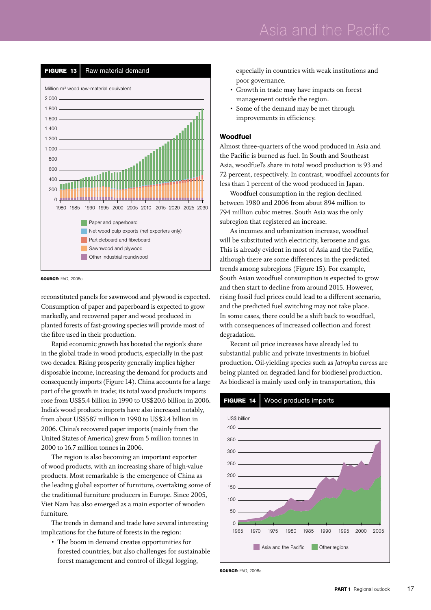

**Source:** FAO, 2008c.

reconstituted panels for sawnwood and plywood is expected. Consumption of paper and paperboard is expected to grow markedly, and recovered paper and wood produced in planted forests of fast-growing species will provide most of the fibre used in their production.

Rapid economic growth has boosted the region's share in the global trade in wood products, especially in the past two decades. Rising prosperity generally implies higher disposable income, increasing the demand for products and consequently imports (Figure 14). China accounts for a large part of the growth in trade; its total wood products imports rose from US\$5.4 billion in 1990 to US\$20.6 billion in 2006. India's wood products imports have also increased notably, from about US\$587 million in 1990 to US\$2.4 billion in 2006. China's recovered paper imports (mainly from the United States of America) grew from 5 million tonnes in 2000 to 16.7 million tonnes in 2006.

The region is also becoming an important exporter of wood products, with an increasing share of high-value products. Most remarkable is the emergence of China as the leading global exporter of furniture, overtaking some of the traditional furniture producers in Europe. Since 2005, Viet Nam has also emerged as a main exporter of wooden furniture.

The trends in demand and trade have several interesting implications for the future of forests in the region:

• The boom in demand creates opportunities for forested countries, but also challenges for sustainable forest management and control of illegal logging,

especially in countries with weak institutions and poor governance.

- • Growth in trade may have impacts on forest management outside the region.
- Some of the demand may be met through improvements in efficiency.

#### Woodfuel

Almost three-quarters of the wood produced in Asia and the Pacific is burned as fuel. In South and Southeast Asia, woodfuel's share in total wood production is 93 and 72 percent, respectively. In contrast, woodfuel accounts for less than 1 percent of the wood produced in Japan.

Woodfuel consumption in the region declined between 1980 and 2006 from about 894 million to 794 million cubic metres. South Asia was the only subregion that registered an increase.

As incomes and urbanization increase, woodfuel will be substituted with electricity, kerosene and gas. This is already evident in most of Asia and the Pacific, although there are some differences in the predicted trends among subregions (Figure 15). For example, South Asian woodfuel consumption is expected to grow and then start to decline from around 2015. However, rising fossil fuel prices could lead to a different scenario, and the predicted fuel switching may not take place. In some cases, there could be a shift back to woodfuel, with consequences of increased collection and forest degradation.

Recent oil price increases have already led to substantial public and private investments in biofuel production. Oil-yielding species such as *Jatropha curcas* are being planted on degraded land for biodiesel production. As biodiesel is mainly used only in transportation, this



**Source:** FAO, 2008a.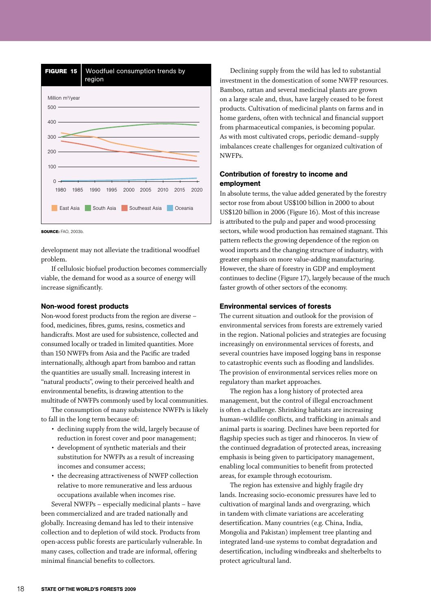

**Source:** FAO, 2003b.

development may not alleviate the traditional woodfuel problem.

If cellulosic biofuel production becomes commercially viable, the demand for wood as a source of energy will increase significantly.

#### Non-wood forest products

Non-wood forest products from the region are diverse – food, medicines, fibres, gums, resins, cosmetics and handicrafts. Most are used for subsistence, collected and consumed locally or traded in limited quantities. More than 150 NWFPs from Asia and the Pacific are traded internationally, although apart from bamboo and rattan the quantities are usually small. Increasing interest in "natural products", owing to their perceived health and environmental benefits, is drawing attention to the multitude of NWFPs commonly used by local communities.

The consumption of many subsistence NWFPs is likely to fall in the long term because of:

- • declining supply from the wild, largely because of reduction in forest cover and poor management;
- • development of synthetic materials and their substitution for NWFPs as a result of increasing incomes and consumer access;
- the decreasing attractiveness of NWFP collection relative to more remunerative and less arduous occupations available when incomes rise.

Several NWFPs – especially medicinal plants – have been commercialized and are traded nationally and globally. Increasing demand has led to their intensive collection and to depletion of wild stock. Products from open-access public forests are particularly vulnerable. In many cases, collection and trade are informal, offering minimal financial benefits to collectors.

Declining supply from the wild has led to substantial investment in the domestication of some NWFP resources. Bamboo, rattan and several medicinal plants are grown on a large scale and, thus, have largely ceased to be forest products. Cultivation of medicinal plants on farms and in home gardens, often with technical and financial support from pharmaceutical companies, is becoming popular. As with most cultivated crops, periodic demand–supply imbalances create challenges for organized cultivation of NWFPs.

#### Contribution of forestry to income and employment

In absolute terms, the value added generated by the forestry sector rose from about US\$100 billion in 2000 to about US\$120 billion in 2006 (Figure 16). Most of this increase is attributed to the pulp and paper and wood-processing sectors, while wood production has remained stagnant. This pattern reflects the growing dependence of the region on wood imports and the changing structure of industry, with greater emphasis on more value-adding manufacturing. However, the share of forestry in GDP and employment continues to decline (Figure 17), largely because of the much faster growth of other sectors of the economy.

#### Environmental services of forests

The current situation and outlook for the provision of environmental services from forests are extremely varied in the region. National policies and strategies are focusing increasingly on environmental services of forests, and several countries have imposed logging bans in response to catastrophic events such as flooding and landslides. The provision of environmental services relies more on regulatory than market approaches.

The region has a long history of protected area management, but the control of illegal encroachment is often a challenge. Shrinking habitats are increasing human–wildlife conflicts, and trafficking in animals and animal parts is soaring. Declines have been reported for flagship species such as tiger and rhinoceros. In view of the continued degradation of protected areas, increasing emphasis is being given to participatory management, enabling local communities to benefit from protected areas, for example through ecotourism.

The region has extensive and highly fragile dry lands. Increasing socio-economic pressures have led to cultivation of marginal lands and overgrazing, which in tandem with climate variations are accelerating desertification. Many countries (e.g. China, India, Mongolia and Pakistan) implement tree planting and integrated land-use systems to combat degradation and desertification, including windbreaks and shelterbelts to protect agricultural land.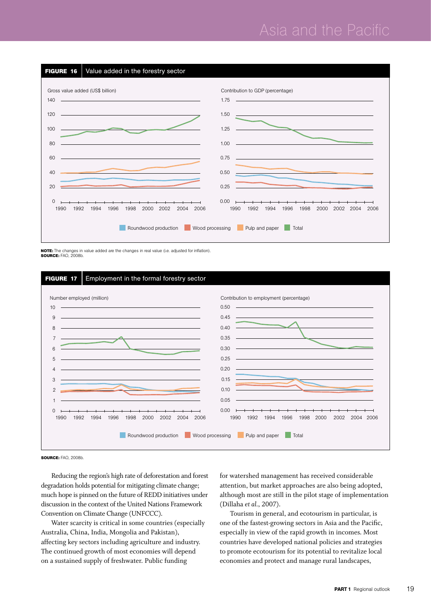

**Note:** The changes in value added are the changes in real value (i.e. adjusted for inflation). **Source:** FAO, 2008b.



**Source:** FAO, 2008b.

Reducing the region's high rate of deforestation and forest degradation holds potential for mitigating climate change; much hope is pinned on the future of REDD initiatives under discussion in the context of the United Nations Framework Convention on Climate Change (UNFCCC).

Water scarcity is critical in some countries (especially Australia, China, India, Mongolia and Pakistan), affecting key sectors including agriculture and industry. The continued growth of most economies will depend on a sustained supply of freshwater. Public funding

for watershed management has received considerable attention, but market approaches are also being adopted, although most are still in the pilot stage of implementation (Dillaha *et al.*, 2007).

Tourism in general, and ecotourism in particular, is one of the fastest-growing sectors in Asia and the Pacific, especially in view of the rapid growth in incomes. Most countries have developed national policies and strategies to promote ecotourism for its potential to revitalize local economies and protect and manage rural landscapes,